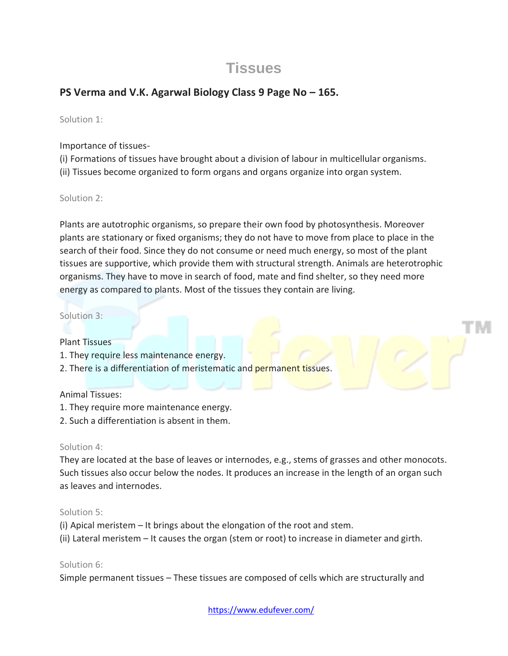# **Tissues**

## **PS Verma and V.K. Agarwal Biology Class 9 Page No – 165.**

Solution 1:

Importance of tissues-

(i) Formations of tissues have brought about a division of labour in multicellular organisms. (ii) Tissues become organized to form organs and organs organize into organ system.

Solution 2:

Plants are autotrophic organisms, so prepare their own food by photosynthesis. Moreover plants are stationary or fixed organisms; they do not have to move from place to place in the search of their food. Since they do not consume or need much energy, so most of the plant tissues are supportive, which provide them with structural strength. Animals are heterotrophic organisms. They have to move in search of food, mate and find shelter, so they need more energy as compared to plants. Most of the tissues they contain are living.

#### Solution 3:

Plant Tissues

- 1. They require less maintenance energy.
- 2. There is a differentiation of meristematic and permanent tissues.

## Animal Tissues:

- 1. They require more maintenance energy.
- 2. Such a differentiation is absent in them.

#### Solution 4:

They are located at the base of leaves or internodes, e.g., stems of grasses and other monocots. Such tissues also occur below the nodes. It produces an increase in the length of an organ such as leaves and internodes.

#### Solution 5:

- (i) Apical meristem It brings about the elongation of the root and stem.
- (ii) Lateral meristem It causes the organ (stem or root) to increase in diameter and girth.

#### Solution 6:

Simple permanent tissues – These tissues are composed of cells which are structurally and

<https://www.edufever.com/>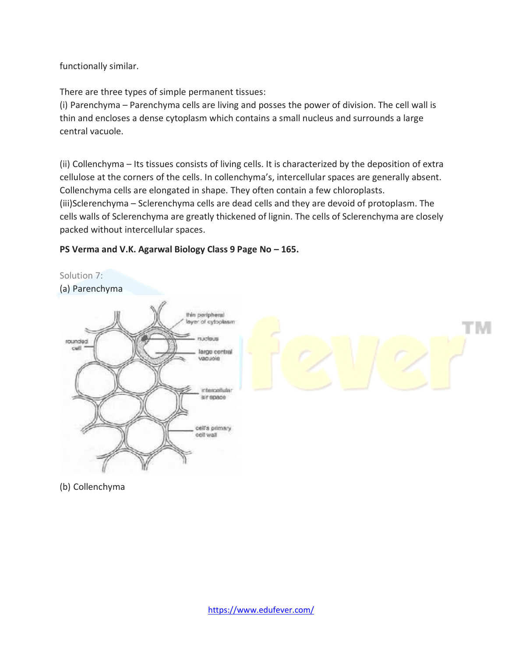functionally similar.

There are three types of simple permanent tissues:

(i) Parenchyma – Parenchyma cells are living and posses the power of division. The cell wall is thin and encloses a dense cytoplasm which contains a small nucleus and surrounds a large central vacuole.

(ii) Collenchyma – Its tissues consists of living cells. It is characterized by the deposition of extra cellulose at the corners of the cells. In collenchyma's, intercellular spaces are generally absent. Collenchyma cells are elongated in shape. They often contain a few chloroplasts. (iii)Sclerenchyma – Sclerenchyma cells are dead cells and they are devoid of protoplasm. The cells walls of Sclerenchyma are greatly thickened of lignin. The cells of Sclerenchyma are closely packed without intercellular spaces.

## **PS Verma and V.K. Agarwal Biology Class 9 Page No – 165.**



(b) Collenchyma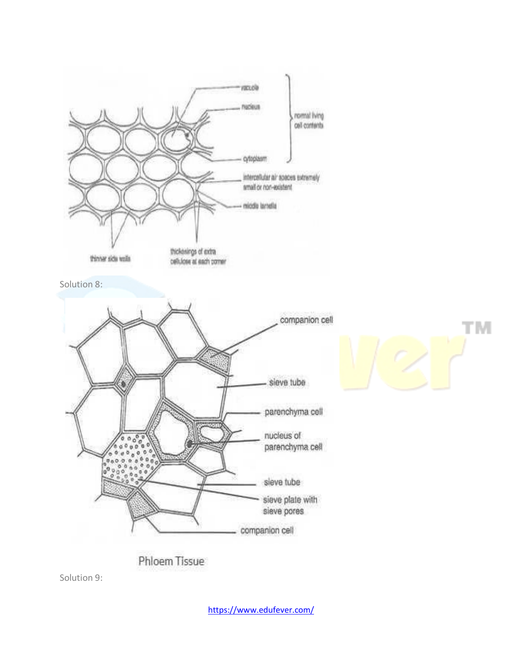

Phloem Tissue

Solution 9: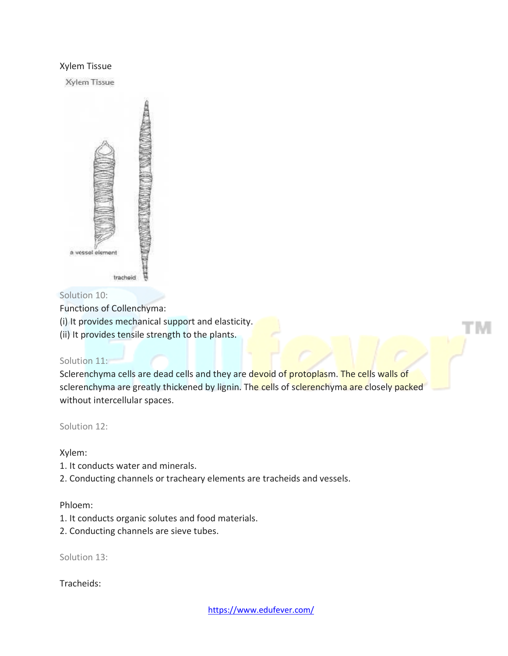#### Xylem Tissue

Xylem Tissue



## Solution 10:

Functions of Collenchyma:

(i) It provides mechanical support and elasticity.

(ii) It provides tensile strength to the plants.

## Solution 11:

Sclerenchyma cells are dead cells and they are devoid of protoplasm. The cells walls of sclerenchyma are greatly thickened by lignin. The cells of sclerenchyma are closely packed without intercellular spaces.

Solution 12:

## Xylem:

- 1. It conducts water and minerals.
- 2. Conducting channels or tracheary elements are tracheids and vessels.

#### Phloem:

- 1. It conducts organic solutes and food materials.
- 2. Conducting channels are sieve tubes.

Solution 13:

Tracheids: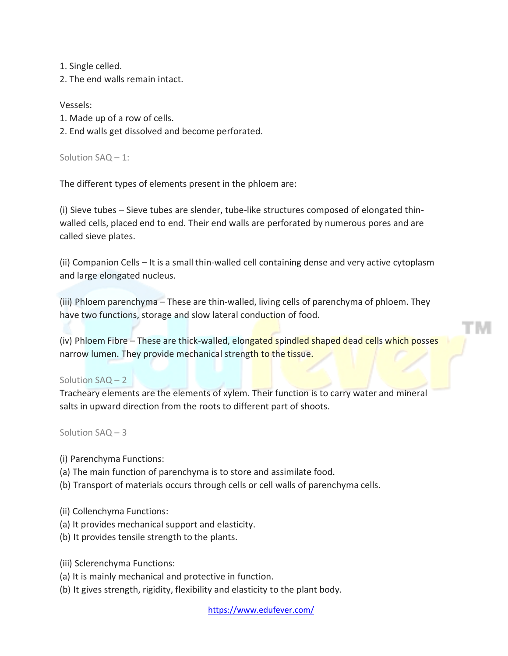1. Single celled.

2. The end walls remain intact.

#### Vessels:

- 1. Made up of a row of cells.
- 2. End walls get dissolved and become perforated.

Solution SAQ – 1:

The different types of elements present in the phloem are:

(i) Sieve tubes – Sieve tubes are slender, tube-like structures composed of elongated thinwalled cells, placed end to end. Their end walls are perforated by numerous pores and are called sieve plates.

(ii) Companion Cells – It is a small thin-walled cell containing dense and very active cytoplasm and large elongated nucleus.

(iii) Phloem parenchyma – These are thin-walled, living cells of parenchyma of phloem. They have two functions, storage and slow lateral conduction of food.

(iv) Phloem Fibre – These are thick-walled, elongated spindled shaped dead cells which posses narrow lumen. They provide mechanical strength to the tissue.

#### Solution SAQ – 2

Tracheary elements are the elements of xylem. Their function is to carry water and mineral salts in upward direction from the roots to different part of shoots.

Solution SAQ – 3

- (i) Parenchyma Functions:
- (a) The main function of parenchyma is to store and assimilate food.
- (b) Transport of materials occurs through cells or cell walls of parenchyma cells.
- (ii) Collenchyma Functions:
- (a) It provides mechanical support and elasticity.
- (b) It provides tensile strength to the plants.

(iii) Sclerenchyma Functions:

- (a) It is mainly mechanical and protective in function.
- (b) It gives strength, rigidity, flexibility and elasticity to the plant body.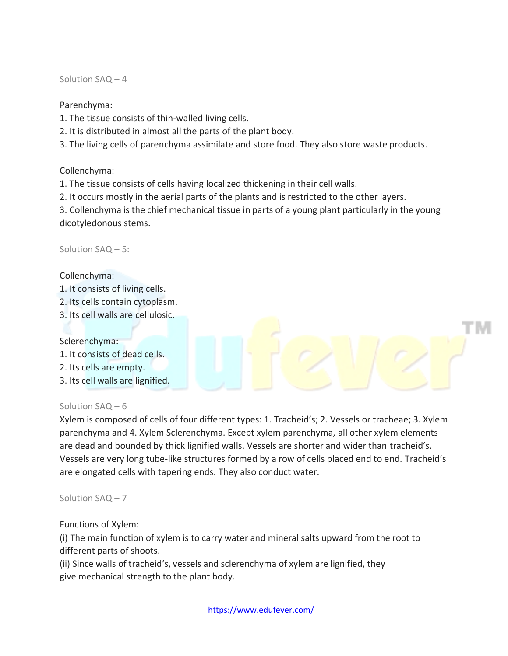Solution SAQ – 4

Parenchyma:

- 1. The tissue consists of thin-walled living cells.
- 2. It is distributed in almost all the parts of the plant body.
- 3. The living cells of parenchyma assimilate and store food. They also store waste products.

Collenchyma:

1. The tissue consists of cells having localized thickening in their cell walls.

2. It occurs mostly in the aerial parts of the plants and is restricted to the other layers.

3. Collenchyma is the chief mechanical tissue in parts of a young plant particularly in the young dicotyledonous stems.

Solution SAQ – 5:

Collenchyma:

- 1. It consists of living cells.
- 2. Its cells contain cytoplasm.
- 3. Its cell walls are cellulosic.

## Sclerenchyma:

- 1. It consists of dead cells.
- 2. Its cells are empty.
- 3. Its cell walls are lignified.

## Solution SAQ – 6

Xylem is composed of cells of four different types: 1. Tracheid's; 2. Vessels or tracheae; 3. Xylem parenchyma and 4. Xylem Sclerenchyma. Except xylem parenchyma, all other xylem elements are dead and bounded by thick lignified walls. Vessels are shorter and wider than tracheid's. Vessels are very long tube-like structures formed by a row of cells placed end to end. Tracheid's are elongated cells with tapering ends. They also conduct water.

Solution SAQ – 7

## Functions of Xylem:

(i) The main function of xylem is to carry water and mineral salts upward from the root to different parts of shoots.

(ii) Since walls of tracheid's, vessels and sclerenchyma of xylem are lignified, they give mechanical strength to the plant body.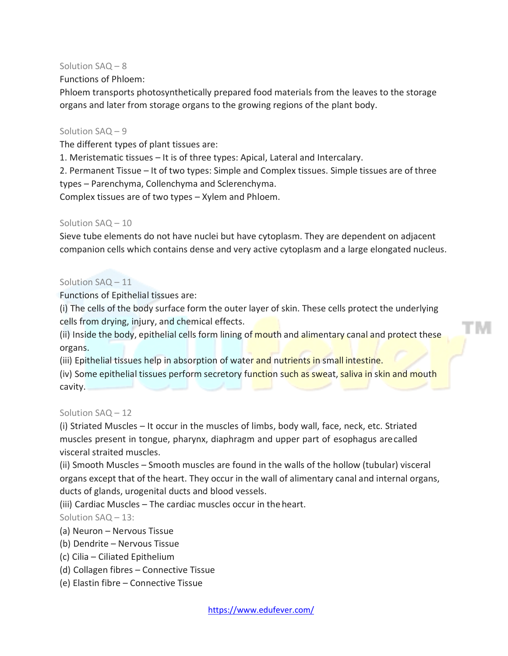### Solution SAQ – 8

### Functions of Phloem:

Phloem transports photosynthetically prepared food materials from the leaves to the storage organs and later from storage organs to the growing regions of the plant body.

#### Solution SAQ – 9

The different types of plant tissues are:

1. Meristematic tissues – It is of three types: Apical, Lateral and Intercalary.

2. Permanent Tissue – It of two types: Simple and Complex tissues. Simple tissues are of three types – Parenchyma, Collenchyma and Sclerenchyma.

Complex tissues are of two types – Xylem and Phloem.

#### Solution SAQ – 10

Sieve tube elements do not have nuclei but have cytoplasm. They are dependent on adjacent companion cells which contains dense and very active cytoplasm and a large elongated nucleus.

#### Solution SAQ – 11

Functions of Epithelial tissues are:

(i) The cells of the body surface form the outer layer of skin. These cells protect the underlying cells from drying, injury, and chemical effects.

(ii) Inside the body, epithelial cells form lining of mouth and alimentary canal and protect these organs.

TМ

(iii) Epithelial tissues help in absorption of water and nutrients in small intestine.

(iv) Some epithelial tissues perform secretory function such as sweat, saliva in skin and mouth cavity.

#### Solution SAQ – 12

(i) Striated Muscles – It occur in the muscles of limbs, body wall, face, neck, etc. Striated muscles present in tongue, pharynx, diaphragm and upper part of esophagus arecalled visceral straited muscles.

(ii) Smooth Muscles – Smooth muscles are found in the walls of the hollow (tubular) visceral organs except that of the heart. They occur in the wall of alimentary canal and internal organs, ducts of glands, urogenital ducts and blood vessels.

(iii) Cardiac Muscles – The cardiac muscles occur in theheart.

Solution SAQ – 13:

- (a) Neuron Nervous Tissue
- (b) Dendrite Nervous Tissue
- (c) Cilia Ciliated Epithelium
- (d) Collagen fibres Connective Tissue
- (e) Elastin fibre Connective Tissue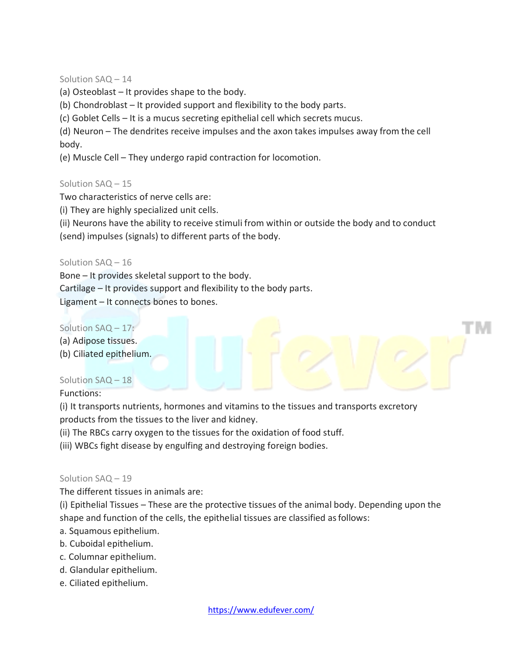#### Solution SAQ – 14

(a) Osteoblast – It provides shape to the body.

(b) Chondroblast – It provided support and flexibility to the body parts.

(c) Goblet Cells – It is a mucus secreting epithelial cell which secrets mucus.

(d) Neuron – The dendrites receive impulses and the axon takes impulses away from the cell body.

(e) Muscle Cell – They undergo rapid contraction for locomotion.

#### Solution SAQ – 15

Two characteristics of nerve cells are:

(i) They are highly specialized unit cells.

(ii) Neurons have the ability to receive stimuli from within or outside the body and to conduct (send) impulses (signals) to different parts of the body.

#### Solution SAQ – 16

Bone – It provides skeletal support to the body.

Cartilage – It provides support and flexibility to the body parts.

Ligament – It connects bones to bones.

## Solution SAQ – 17:

- (a) Adipose tissues.
- (b) Ciliated epithelium.

## Solution SAQ – 18

Functions:

(i) It transports nutrients, hormones and vitamins to the tissues and transports excretory products from the tissues to the liver and kidney.

(ii) The RBCs carry oxygen to the tissues for the oxidation of food stuff.

(iii) WBCs fight disease by engulfing and destroying foreign bodies.

#### Solution SAQ – 19

The different tissues in animals are:

(i) Epithelial Tissues – These are the protective tissues of the animal body. Depending upon the shape and function of the cells, the epithelial tissues are classified asfollows:

- a. Squamous epithelium.
- b. Cuboidal epithelium.
- c. Columnar epithelium.
- d. Glandular epithelium.
- e. Ciliated epithelium.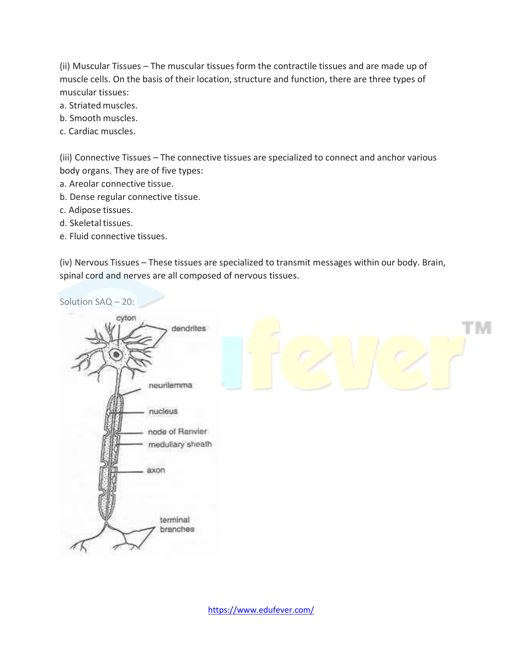(ii) Muscular Tissues – The muscular tissues form the contractile tissues and are made up of muscle cells. On the basis of their location, structure and function, there are three types of muscular tissues:

- a. Striated muscles.
- b. Smooth muscles.
- c. Cardiac muscles.

(iii) Connective Tissues – The connective tissues are specialized to connect and anchor various body organs. They are of five types:

- a. Areolar connective tissue.
- b. Dense regular connective tissue.
- c. Adipose tissues.
- d. Skeletal tissues.
- e. Fluid connective tissues.

(iv) Nervous Tissues – These tissues are specialized to transmit messages within our body. Brain, spinal cord and nerves are all composed of nervous tissues.

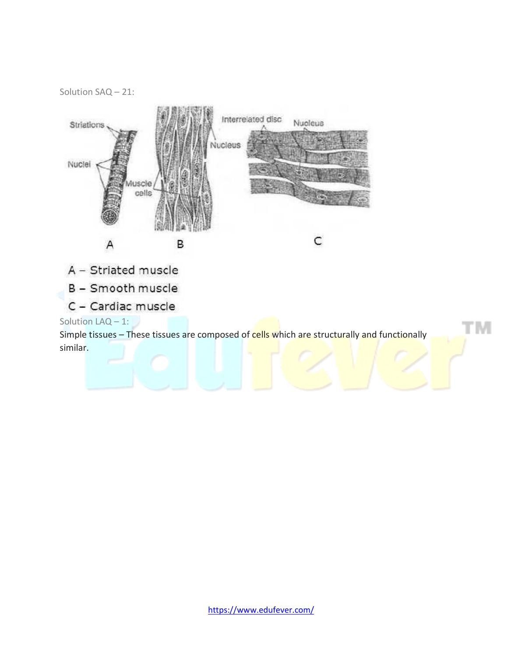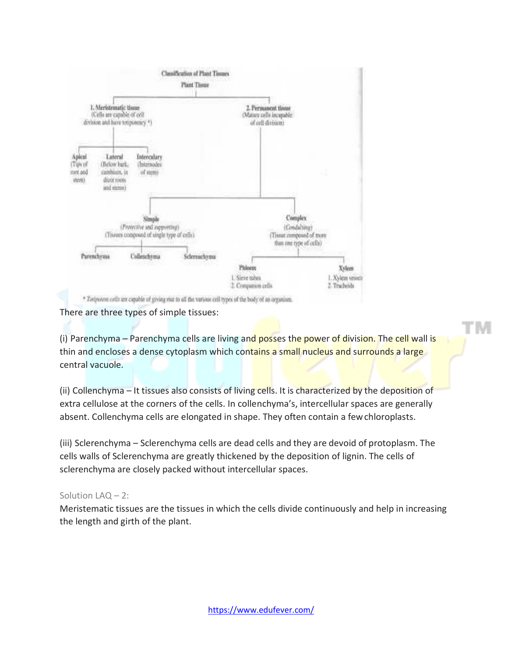

There are three types of simple tissues:

(i) Parenchyma – Parenchyma cells are living and posses the power of division. The cell wall is thin and encloses a dense cytoplasm which contains a small nucleus and surrounds a large central vacuole.

(ii) Collenchyma – It tissues also consists of living cells. It is characterized by the deposition of extra cellulose at the corners of the cells. In collenchyma's, intercellular spaces are generally absent. Collenchyma cells are elongated in shape. They often contain a fewchloroplasts.

(iii) Sclerenchyma – Sclerenchyma cells are dead cells and they are devoid of protoplasm. The cells walls of Sclerenchyma are greatly thickened by the deposition of lignin. The cells of sclerenchyma are closely packed without intercellular spaces.

## Solution LAQ – 2:

Meristematic tissues are the tissues in which the cells divide continuously and help in increasing the length and girth of the plant.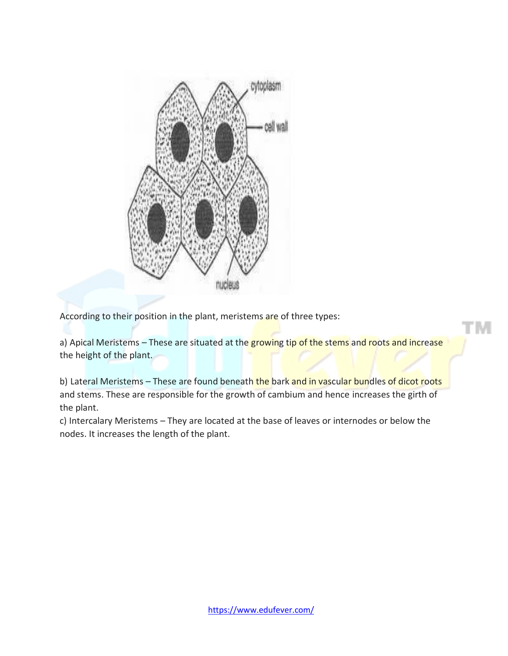

According to their position in the plant, meristems are of three types:

a) Apical Meristems – These are situated at the growing tip of the stems and roots and increase the height of the plant.

b) Lateral Meristems – These are found beneath the bark and in vascular bundles of dicot roots and stems. These are responsible for the growth of cambium and hence increases the girth of the plant.

c) Intercalary Meristems – They are located at the base of leaves or internodes or below the nodes. It increases the length of the plant.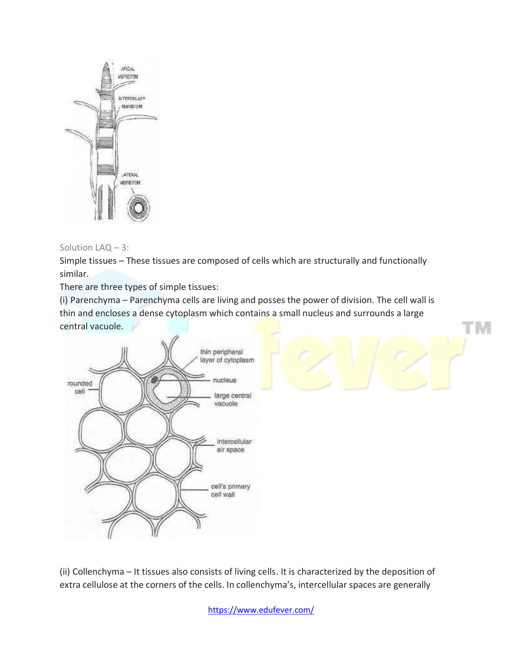

### Solution LAQ – 3:

Simple tissues – These tissues are composed of cells which are structurally and functionally similar.

There are three types of simple tissues:

(i) Parenchyma – Parenchyma cells are living and posses the power of division. The cell wall is thin and encloses a dense cytoplasm which contains a small nucleus and surrounds a large central vacuole.



(ii) Collenchyma – It tissues also consists of living cells. It is characterized by the deposition of extra cellulose at the corners of the cells. In collenchyma's, intercellular spaces are generally